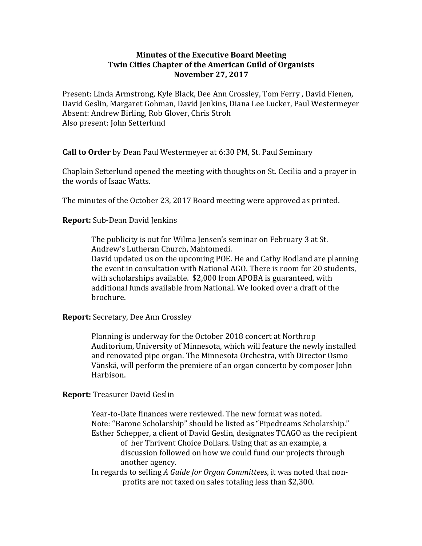## **Minutes of the Executive Board Meeting Twin Cities Chapter of the American Guild of Organists November 27, 2017**

Present: Linda Armstrong, Kyle Black, Dee Ann Crossley, Tom Ferry, David Fienen, David Geslin, Margaret Gohman, David Jenkins, Diana Lee Lucker, Paul Westermeyer Absent: Andrew Birling, Rob Glover, Chris Stroh Also present: John Setterlund

**Call to Order** by Dean Paul Westermeyer at 6:30 PM, St. Paul Seminary

Chaplain Setterlund opened the meeting with thoughts on St. Cecilia and a prayer in the words of Isaac Watts.

The minutes of the October 23, 2017 Board meeting were approved as printed.

**Report:** Sub-Dean David Jenkins

The publicity is out for Wilma Jensen's seminar on February 3 at St. Andrew's Lutheran Church, Mahtomedi.

David updated us on the upcoming POE. He and Cathy Rodland are planning the event in consultation with National AGO. There is room for 20 students, with scholarships available.  $$2,000$  from APOBA is guaranteed, with additional funds available from National. We looked over a draft of the brochure. 

**Report:** Secretary, Dee Ann Crossley

Planning is underway for the October 2018 concert at Northrop Auditorium, University of Minnesota, which will feature the newly installed and renovated pipe organ. The Minnesota Orchestra, with Director Osmo Vänskä, will perform the premiere of an organ concerto by composer John Harbison. 

**Report:** Treasurer David Geslin

Year-to-Date finances were reviewed. The new format was noted. Note: "Barone Scholarship" should be listed as "Pipedreams Scholarship." Esther Schepper, a client of David Geslin, designates TCAGO as the recipient of her Thrivent Choice Dollars. Using that as an example, a discussion followed on how we could fund our projects through another agency.

In regards to selling *A Guide for Organ Committees*, it was noted that nonprofits are not taxed on sales totaling less than \$2,300.